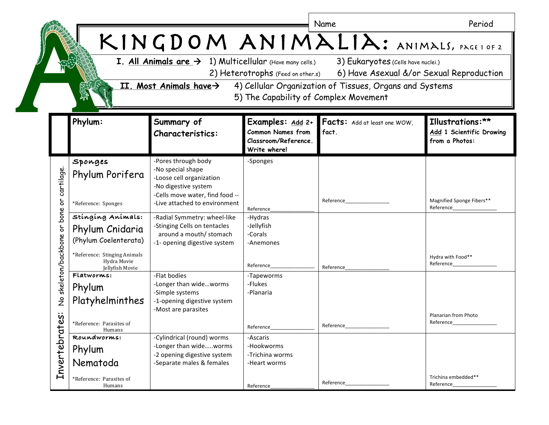|                                                     |                                                                                                                                                                                                                                                                                                                                                                                                                 |                                                                                                                                                                  |                                                                                      | Name                                  | Period                                                         |  |  |  |  |
|-----------------------------------------------------|-----------------------------------------------------------------------------------------------------------------------------------------------------------------------------------------------------------------------------------------------------------------------------------------------------------------------------------------------------------------------------------------------------------------|------------------------------------------------------------------------------------------------------------------------------------------------------------------|--------------------------------------------------------------------------------------|---------------------------------------|----------------------------------------------------------------|--|--|--|--|
|                                                     | KINGDOM ANIMALIA: ANIMALS, PAGE1 OF 2<br><b>I. All Animals are <math>\rightarrow</math> 1) Multicellular</b> (Have many cells.)<br>3) Eukaryotes (Cells have nuclei.)<br>6) Have Asexual &/or Sexual Reproduction<br>2) Heterotrophs (Feed on other.s)<br>II. Most Animals have $\rightarrow$<br>4) Cellular Organization of Tissues, Organs and Systems<br><b>AND</b><br>5) The Capability of Complex Movement |                                                                                                                                                                  |                                                                                      |                                       |                                                                |  |  |  |  |
|                                                     | Phylum:                                                                                                                                                                                                                                                                                                                                                                                                         | Summary of<br><b>Characteristics:</b>                                                                                                                            | Examples: Add 2+<br><b>Common Names from</b><br>Classroom/Reference.<br>Write where! | Facts: Add at least one WOW,<br>fact. | Illustrations:**<br>Add 1 Scientific Drawing<br>from a Photos: |  |  |  |  |
| cartilage.<br>5                                     | Sponges<br>Phylum Porifera<br>*Reference: Sponges                                                                                                                                                                                                                                                                                                                                                               | -Pores through body<br>-No special shape<br>-Loose cell organization<br>-No digestive system<br>-Cells move water, find food --<br>-Live attached to environment | -Sponges                                                                             | Reference                             | Magnified Sponge Fibers**                                      |  |  |  |  |
| bone<br>٥r                                          | Stinging Animals:<br>Phylum Cnidaria<br>(Phylum Coelenterata)<br>*Reference: Stinging Animals                                                                                                                                                                                                                                                                                                                   | -Radial Symmetry: wheel-like<br>-Stinging Cells on tentacles<br>around a mouth/ stomach<br>-1- opening digestive system                                          | Reference<br>-Hydras<br>-Jellyfish<br>-Corals<br>-Anemones                           |                                       | Reference                                                      |  |  |  |  |
| skeleton/backbone<br>$\stackrel{\mathtt{o}}{z}$     | Hydra Movie<br>Jellyfish Movie<br>Flatworms:<br>Phylum<br>Platyhelminthes                                                                                                                                                                                                                                                                                                                                       | -Flat bodies<br>-Longer than wideworms<br>-Simple systems<br>-1-opening digestive system<br>-Most are parasites                                                  | Reference<br>-Tapeworms<br>-Flukes<br>-Planaria                                      | Reference                             | Hydra with Food**<br>Reference                                 |  |  |  |  |
| $\ddot{\bm{\mathrm{v}}}$<br>$\omega$<br>Invertebrat | *Reference: Parasites of<br>Humans<br>Roundworms:<br>Phylum<br>Nematoda                                                                                                                                                                                                                                                                                                                                         | -Cylindrical (round) worms<br>-Longer than wideworms<br>-2 opening digestive system<br>-Separate males & females                                                 | Reference_<br>-Ascaris<br>-Hookworms<br>-Trichina worms<br>-Heart worms              | Reference_                            | Planarian from Photo<br>Reference                              |  |  |  |  |
|                                                     | *Reference: Parasites of<br>Humans                                                                                                                                                                                                                                                                                                                                                                              |                                                                                                                                                                  | Reference                                                                            | Reference_                            | Trichina embedded**<br>Reference_                              |  |  |  |  |